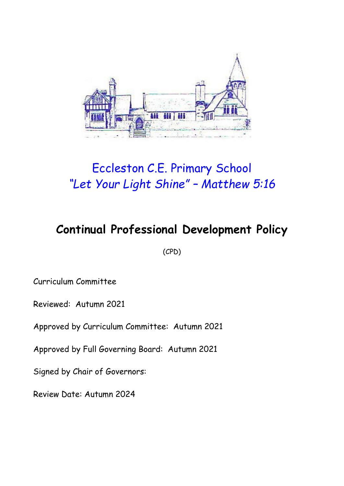

# Eccleston C.E. Primary School *"Let Your Light Shine" – Matthew 5:16*

## **Continual Professional Development Policy**

(CPD)

Curriculum Committee

Reviewed: Autumn 2021

Approved by Curriculum Committee: Autumn 2021

Approved by Full Governing Board: Autumn 2021

Signed by Chair of Governors:

Review Date: Autumn 2024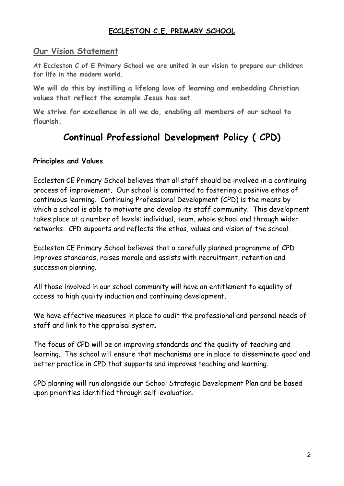### **ECCLESTON C.E. PRIMARY SCHOOL**

### **Our Vision Statement**

**At Eccleston C of E Primary School we are united in our vision to prepare our children for life in the modern world.**

**We will do this by instilling a lifelong love of learning and embedding Christian values that reflect the example Jesus has set.**

**We strive for excellence in all we do, enabling all members of our school to flourish.**

### **Continual Professional Development Policy ( CPD)**

#### **Principles and Values**

Eccleston CE Primary School believes that all staff should be involved in a continuing process of improvement. Our school is committed to fostering a positive ethos of continuous learning. Continuing Professional Development (CPD) is the means by which a school is able to motivate and develop its staff community. This development takes place at a number of levels; individual, team, whole school and through wider networks. CPD supports and reflects the ethos, values and vision of the school.

Eccleston CE Primary School believes that a carefully planned programme of CPD improves standards, raises morale and assists with recruitment, retention and succession planning.

All those involved in our school community will have an entitlement to equality of access to high quality induction and continuing development.

We have effective measures in place to audit the professional and personal needs of staff and link to the appraisal system.

The focus of CPD will be on improving standards and the quality of teaching and learning. The school will ensure that mechanisms are in place to disseminate good and better practice in CPD that supports and improves teaching and learning.

CPD planning will run alongside our School Strategic Development Plan and be based upon priorities identified through self-evaluation.